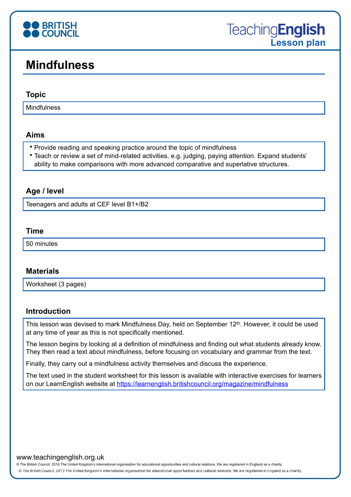

# **Mindfulness**

#### **Topic**

**Mindfulness** 

## **Aims**

- Provide reading and speaking practice around the topic of mindfulness
- Teach or review a set of mind-related activities, e.g. judging, paying attention. Expand students' ability to make comparisons with more advanced comparative and superlative structures.

## **Age / level**

Teenagers and adults at CEF level B1+/B2

#### **Time**

50 minutes

## **Materials**

Worksheet (3 pages)

## **Introduction**

This lesson was devised to mark Mindfulness Day, held on September 12<sup>th</sup>. However, it could be used at any time of year as this is not specifically mentioned.

The lesson begins by looking at a definition of mindfulness and finding out what students already know. They then read a text about mindfulness, before focusing on vocabulary and grammar from the text.

Finally, they carry out a mindfulness activity themselves and discuss the experience.

The text used in the student worksheet for this lesson is available with interactive exercises for learners on our LearnEnglish website at<https://learnenglish.britishcouncil.org/magazine/mindfulness>

#### www.teachingenglish.org.uk

© The British Council, 2016 The United Kingdom's international organisation for educational opportunities and cultural relations. We are registered in England as a charity.

@ The British Council, 2013 The United Kingdom's international organisation for educational opportunities and cultural relations. We are registered in England as a charity.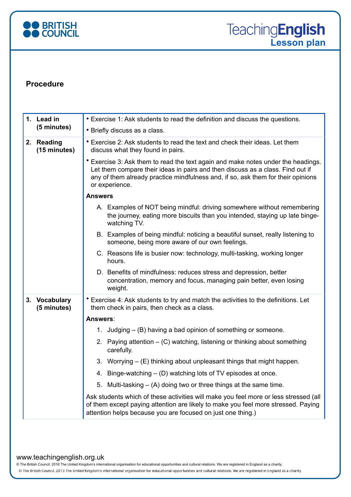

## **Procedure**

| 1. Lead in<br>(5 minutes)    | • Exercise 1: Ask students to read the definition and discuss the questions.                                                                                                                                                                                             |
|------------------------------|--------------------------------------------------------------------------------------------------------------------------------------------------------------------------------------------------------------------------------------------------------------------------|
|                              | • Briefly discuss as a class.                                                                                                                                                                                                                                            |
| 2. Reading<br>(15 minutes)   | • Exercise 2: Ask students to read the text and check their ideas. Let them<br>discuss what they found in pairs.                                                                                                                                                         |
|                              | * Exercise 3: Ask them to read the text again and make notes under the headings.<br>Let them compare their ideas in pairs and then discuss as a class. Find out if<br>any of them already practice mindfulness and, if so, ask them for their opinions<br>or experience. |
|                              | <b>Answers</b>                                                                                                                                                                                                                                                           |
|                              | A. Examples of NOT being mindful: driving somewhere without remembering<br>the journey, eating more biscuits than you intended, staying up late binge-<br>watching TV.                                                                                                   |
|                              | B. Examples of being mindful: noticing a beautiful sunset, really listening to<br>someone, being more aware of our own feelings.                                                                                                                                         |
|                              | C. Reasons life is busier now: technology, multi-tasking, working longer<br>hours.                                                                                                                                                                                       |
|                              | D. Benefits of mindfulness: reduces stress and depression, better<br>concentration, memory and focus, managing pain better, even losing<br>weight.                                                                                                                       |
| 3. Vocabulary<br>(5 minutes) | Exercise 4: Ask students to try and match the activities to the definitions. Let<br>them check in pairs, then check as a class.                                                                                                                                          |
|                              | <b>Answers:</b>                                                                                                                                                                                                                                                          |
|                              | 1. Judging – (B) having a bad opinion of something or someone.                                                                                                                                                                                                           |
|                              | 2. Paying attention – (C) watching, listening or thinking about something<br>carefully.                                                                                                                                                                                  |
|                              | 3. Worrying – (E) thinking about unpleasant things that might happen.                                                                                                                                                                                                    |
|                              | 4. Binge-watching – (D) watching lots of TV episodes at once.                                                                                                                                                                                                            |
|                              | 5. Multi-tasking – (A) doing two or three things at the same time.                                                                                                                                                                                                       |
|                              | Ask students which of these activities will make you feel more or less stressed (all<br>of them except paying attention are likely to make you feel more stressed. Paying<br>attention helps because you are focused on just one thing.)                                 |

#### www.teachingenglish.org.uk

© The British Council, 2016 The United Kingdom's international organisation for educational opportunities and cultural relations. We are registered in England as a charity.

@ The British Council, 2013 The United Kingdom's international organisation for educational opportunities and cultural relations. We are registered in England as a charity.